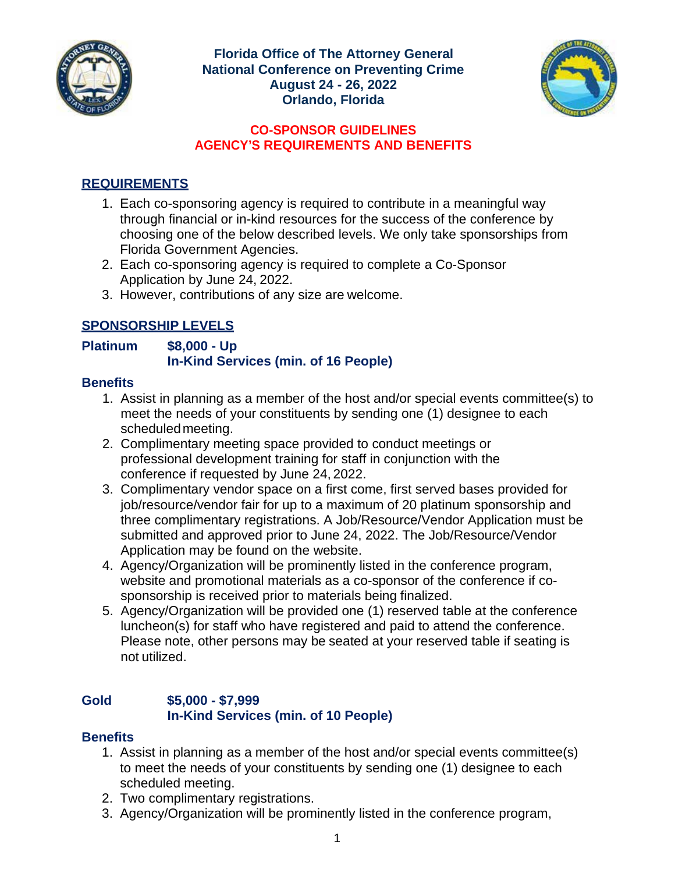

**Florida Office of The Attorney General National Conference on Preventing Crime August 24 - 26, 2022 Orlando, Florida**



#### **CO-SPONSOR GUIDELINES AGENCY'S REQUIREMENTS AND BENEFITS**

# **REQUIREMENTS**

- 1. Each co-sponsoring agency is required to contribute in a meaningful way through financial or in-kind resources for the success of the conference by choosing one of the below described levels. We only take sponsorships from Florida Government Agencies.
- 2. Each co-sponsoring agency is required to complete a Co-Sponsor Application by June 24, 2022.
- 3. However, contributions of any size are welcome.

## **SPONSORSHIP LEVELS**

### **Platinum \$8,000 - Up In-Kind Services (min. of 16 People)**

#### **Benefits**

- 1. Assist in planning as a member of the host and/or special events committee(s) to meet the needs of your constituents by sending one (1) designee to each scheduledmeeting.
- 2. Complimentary meeting space provided to conduct meetings or professional development training for staff in conjunction with the conference if requested by June 24, 2022.
- 3. Complimentary vendor space on a first come, first served bases provided for job/resource/vendor fair for up to a maximum of 20 platinum sponsorship and three complimentary registrations. A Job/Resource/Vendor Application must be submitted and approved prior to June 24, 2022. The Job/Resource/Vendor Application may be found on the website.
- 4. Agency/Organization will be prominently listed in the conference program, website and promotional materials as a co-sponsor of the conference if cosponsorship is received prior to materials being finalized.
- 5. Agency/Organization will be provided one (1) reserved table at the conference luncheon(s) for staff who have registered and paid to attend the conference. Please note, other persons may be seated at your reserved table if seating is not utilized.

### **Gold \$5,000 - \$7,999 In-Kind Services (min. of 10 People)**

### **Benefits**

- 1. Assist in planning as a member of the host and/or special events committee(s) to meet the needs of your constituents by sending one (1) designee to each scheduled meeting.
- 2. Two complimentary registrations.
- 3. Agency/Organization will be prominently listed in the conference program,